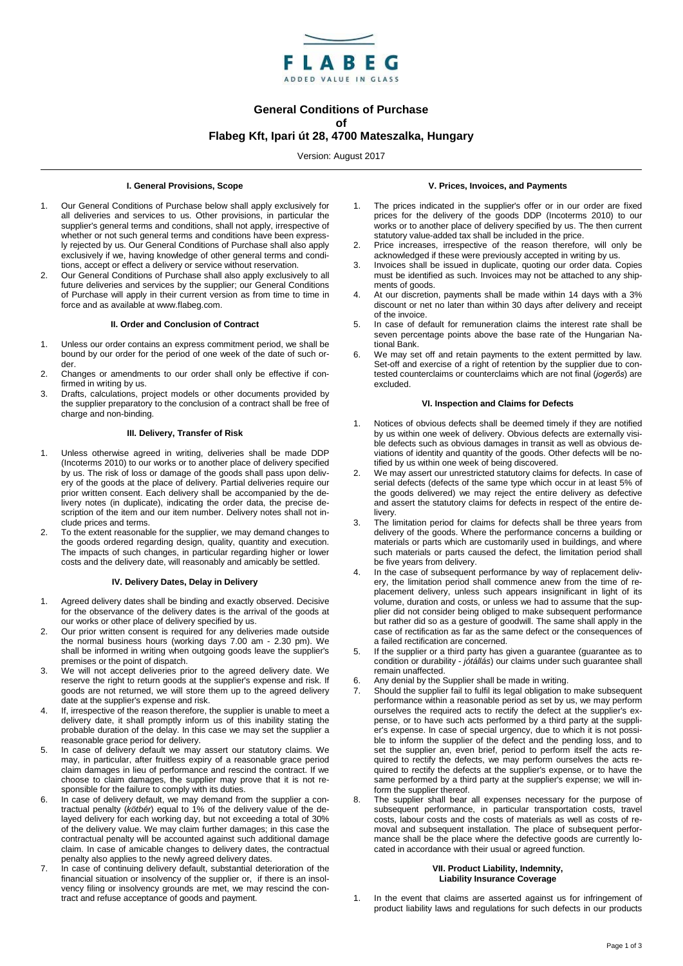

# **General Conditions of Purchase**

# **of Flabeg Kft, Ipari út 28, 4700 Mateszalka, Hungary**

Version: August 2017

### **I. General Provisions, Scope**

- 1. Our General Conditions of Purchase below shall apply exclusively for all deliveries and services to us. Other provisions, in particular the supplier's general terms and conditions, shall not apply, irrespective of whether or not such general terms and conditions have been expressly rejected by us. Our General Conditions of Purchase shall also apply exclusively if we, having knowledge of other general terms and conditions, accept or effect a delivery or service without reservation.
- 2. Our General Conditions of Purchase shall also apply exclusively to all future deliveries and services by the supplier; our General Conditions of Purchase will apply in their current version as from time to time in force and as available at www.flabeg.com.

#### **II. Order and Conclusion of Contract**

- 1. Unless our order contains an express commitment period, we shall be bound by our order for the period of one week of the date of such order.
- 2. Changes or amendments to our order shall only be effective if confirmed in writing by us.
- 3. Drafts, calculations, project models or other documents provided by the supplier preparatory to the conclusion of a contract shall be free of charge and non-binding.

## **III. Delivery, Transfer of Risk**

- 1. Unless otherwise agreed in writing, deliveries shall be made DDP (Incoterms 2010) to our works or to another place of delivery specified by us. The risk of loss or damage of the goods shall pass upon delivery of the goods at the place of delivery. Partial deliveries require our prior written consent. Each delivery shall be accompanied by the delivery notes (in duplicate), indicating the order data, the precise description of the item and our item number. Delivery notes shall not include prices and terms.
- 2. To the extent reasonable for the supplier, we may demand changes to the goods ordered regarding design, quality, quantity and execution. The impacts of such changes, in particular regarding higher or lower costs and the delivery date, will reasonably and amicably be settled.

## **IV. Delivery Dates, Delay in Delivery**

- 1. Agreed delivery dates shall be binding and exactly observed. Decisive for the observance of the delivery dates is the arrival of the goods at our works or other place of delivery specified by us.
- 2. Our prior written consent is required for any deliveries made outside the normal business hours (working days 7.00 am - 2.30 pm). We shall be informed in writing when outgoing goods leave the supplier's premises or the point of dispatch.
- 3. We will not accept deliveries prior to the agreed delivery date. We reserve the right to return goods at the supplier's expense and risk. If goods are not returned, we will store them up to the agreed delivery date at the supplier's expense and risk.
- 4. If, irrespective of the reason therefore, the supplier is unable to meet a delivery date, it shall promptly inform us of this inability stating the probable duration of the delay. In this case we may set the supplier a reasonable grace period for delivery.
- 5. In case of delivery default we may assert our statutory claims. We may, in particular, after fruitless expiry of a reasonable grace period claim damages in lieu of performance and rescind the contract. If we choose to claim damages, the supplier may prove that it is not responsible for the failure to comply with its duties.
- 6. In case of delivery default, we may demand from the supplier a contractual penalty (*kötbér*) equal to 1% of the delivery value of the delayed delivery for each working day, but not exceeding a total of 30% of the delivery value. We may claim further damages; in this case the contractual penalty will be accounted against such additional damage claim. In case of amicable changes to delivery dates, the contractual penalty also applies to the newly agreed delivery dates.
- 7. In case of continuing delivery default, substantial deterioration of the financial situation or insolvency of the supplier or, if there is an insolvency filing or insolvency grounds are met, we may rescind the contract and refuse acceptance of goods and payment.

#### **V. Prices, Invoices, and Payments**

- 1. The prices indicated in the supplier's offer or in our order are fixed prices for the delivery of the goods DDP (Incoterms 2010) to our works or to another place of delivery specified by us. The then current statutory value-added tax shall be included in the price.
- 2. Price increases, irrespective of the reason therefore, will only be acknowledged if these were previously accepted in writing by us.
- 3. Invoices shall be issued in duplicate, quoting our order data. Copies must be identified as such. Invoices may not be attached to any shipments of goods.
- 4. At our discretion, payments shall be made within 14 days with a 3% discount or net no later than within 30 days after delivery and receipt of the invoice.
- 5. In case of default for remuneration claims the interest rate shall be seven percentage points above the base rate of the Hungarian National Bank.
- 6. We may set off and retain payments to the extent permitted by law. Set-off and exercise of a right of retention by the supplier due to contested counterclaims or counterclaims which are not final (*jogerős*) are excluded.

# **VI. Inspection and Claims for Defects**

- Notices of obvious defects shall be deemed timely if they are notified by us within one week of delivery. Obvious defects are externally visible defects such as obvious damages in transit as well as obvious deviations of identity and quantity of the goods. Other defects will be notified by us within one week of being discovered.
- We may assert our unrestricted statutory claims for defects. In case of serial defects (defects of the same type which occur in at least 5% of the goods delivered) we may reject the entire delivery as defective and assert the statutory claims for defects in respect of the entire delivery.
- 3. The limitation period for claims for defects shall be three years from delivery of the goods. Where the performance concerns a building or materials or parts which are customarily used in buildings, and where such materials or parts caused the defect, the limitation period shall be five years from delivery.
- In the case of subsequent performance by way of replacement delivery, the limitation period shall commence anew from the time of replacement delivery, unless such appears insignificant in light of its volume, duration and costs, or unless we had to assume that the supplier did not consider being obliged to make subsequent performance but rather did so as a gesture of goodwill. The same shall apply in the case of rectification as far as the same defect or the consequences of a failed rectification are concerned.
- 5. If the supplier or a third party has given a guarantee (guarantee as to condition or durability - *jótállás*) our claims under such guarantee shall remain unaffected.
- 6. Any denial by the Supplier shall be made in writing.
- Should the supplier fail to fulfil its legal obligation to make subsequent performance within a reasonable period as set by us, we may perform ourselves the required acts to rectify the defect at the supplier's expense, or to have such acts performed by a third party at the supplier's expense. In case of special urgency, due to which it is not possible to inform the supplier of the defect and the pending loss, and to set the supplier an, even brief, period to perform itself the acts required to rectify the defects, we may perform ourselves the acts required to rectify the defects at the supplier's expense, or to have the same performed by a third party at the supplier's expense; we will inform the supplier thereof.
- 8. The supplier shall bear all expenses necessary for the purpose of subsequent performance, in particular transportation costs, travel costs, labour costs and the costs of materials as well as costs of removal and subsequent installation. The place of subsequent performance shall be the place where the defective goods are currently located in accordance with their usual or agreed function.

#### **VII. Product Liability, Indemnity, Liability Insurance Coverage**

In the event that claims are asserted against us for infringement of product liability laws and regulations for such defects in our products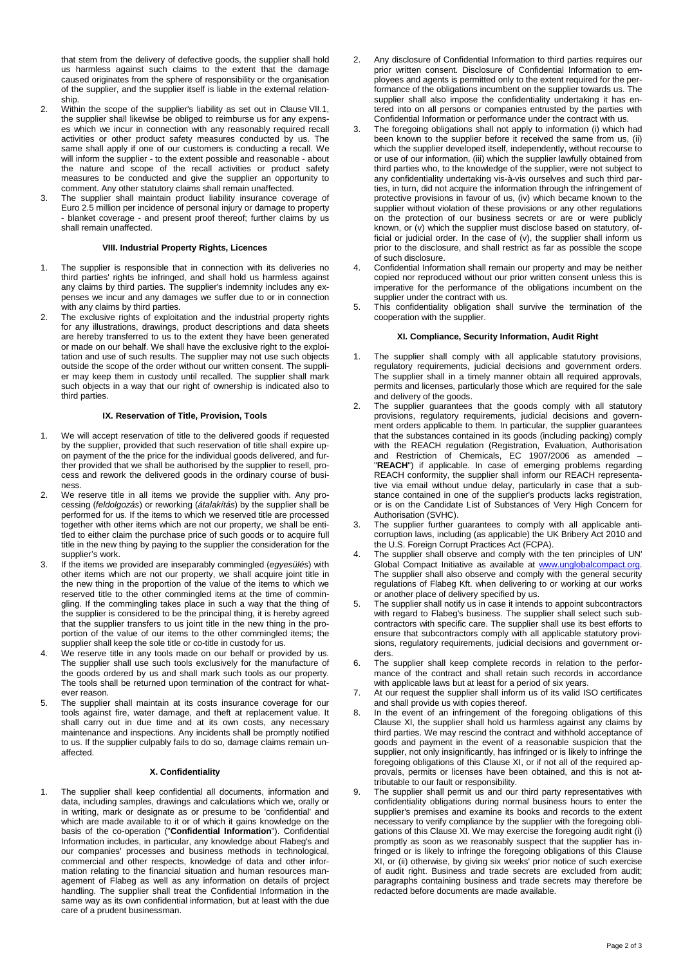that stem from the delivery of defective goods, the supplier shall hold us harmless against such claims to the extent that the damage caused originates from the sphere of responsibility or the organisation of the supplier, and the supplier itself is liable in the external relationship.

- 2. Within the scope of the supplier's liability as set out in Clause VII.1, the supplier shall likewise be obliged to reimburse us for any expenses which we incur in connection with any reasonably required recall activities or other product safety measures conducted by us. The same shall apply if one of our customers is conducting a recall. We will inform the supplier - to the extent possible and reasonable - about the nature and scope of the recall activities or product safety measures to be conducted and give the supplier an opportunity to comment. Any other statutory claims shall remain unaffected.
- 3. The supplier shall maintain product liability insurance coverage of Euro 2.5 million per incidence of personal injury or damage to property - blanket coverage - and present proof thereof; further claims by us shall remain unaffected.

# **VIII. Industrial Property Rights, Licences**

- 1. The supplier is responsible that in connection with its deliveries no third parties' rights be infringed, and shall hold us harmless against any claims by third parties. The supplier's indemnity includes any expenses we incur and any damages we suffer due to or in connection with any claims by third parties.
- 2. The exclusive rights of exploitation and the industrial property rights for any illustrations, drawings, product descriptions and data sheets are hereby transferred to us to the extent they have been generated or made on our behalf. We shall have the exclusive right to the exploitation and use of such results. The supplier may not use such objects outside the scope of the order without our written consent. The supplier may keep them in custody until recalled. The supplier shall mark such objects in a way that our right of ownership is indicated also to third parties.

#### **IX. Reservation of Title, Provision, Tools**

- 1. We will accept reservation of title to the delivered goods if requested by the supplier, provided that such reservation of title shall expire upon payment of the the price for the individual goods delivered, and further provided that we shall be authorised by the supplier to resell, process and rework the delivered goods in the ordinary course of business.
- 2. We reserve title in all items we provide the supplier with. Any processing (*feldolgozás*) or reworking (*átalakítás*) by the supplier shall be performed for us. If the items to which we reserved title are processed together with other items which are not our property, we shall be entitled to either claim the purchase price of such goods or to acquire full title in the new thing by paying to the supplier the consideration for the supplier's work.
- 3. If the items we provided are inseparably commingled (*egyesülés*) with other items which are not our property, we shall acquire joint title in the new thing in the proportion of the value of the items to which we reserved title to the other commingled items at the time of commingling. If the commingling takes place in such a way that the thing of the supplier is considered to be the principal thing, it is hereby agreed that the supplier transfers to us joint title in the new thing in the proportion of the value of our items to the other commingled items; the supplier shall keep the sole title or co-title in custody for us.
- We reserve title in any tools made on our behalf or provided by us. The supplier shall use such tools exclusively for the manufacture of the goods ordered by us and shall mark such tools as our property. The tools shall be returned upon termination of the contract for whatever reason.
- 5. The supplier shall maintain at its costs insurance coverage for our tools against fire, water damage, and theft at replacement value. It shall carry out in due time and at its own costs, any necessary maintenance and inspections. Any incidents shall be promptly notified to us. If the supplier culpably fails to do so, damage claims remain unaffected.

# **X. Confidentiality**

The supplier shall keep confidential all documents, information and data, including samples, drawings and calculations which we, orally or in writing, mark or designate as or presume to be 'confidential' and which are made available to it or of which it gains knowledge on the basis of the co-operation ("**Confidential Information**"). Confidential Information includes, in particular, any knowledge about Flabeg's and our companies' processes and business methods in technological, commercial and other respects, knowledge of data and other information relating to the financial situation and human resources management of Flabeg as well as any information on details of project handling. The supplier shall treat the Confidential Information in the same way as its own confidential information, but at least with the due care of a prudent businessman.

- 2. Any disclosure of Confidential Information to third parties requires our prior written consent. Disclosure of Confidential Information to employees and agents is permitted only to the extent required for the performance of the obligations incumbent on the supplier towards us. The supplier shall also impose the confidentiality undertaking it has entered into on all persons or companies entrusted by the parties with Confidential Information or performance under the contract with us.
- The foregoing obligations shall not apply to information (i) which had been known to the supplier before it received the same from us, (ii) which the supplier developed itself, independently, without recourse to or use of our information, (iii) which the supplier lawfully obtained from third parties who, to the knowledge of the supplier, were not subject to any confidentiality undertaking vis-à-vis ourselves and such third parties, in turn, did not acquire the information through the infringement of protective provisions in favour of us, (iv) which became known to the supplier without violation of these provisions or any other regulations on the protection of our business secrets or are or were publicly known, or (v) which the supplier must disclose based on statutory, official or judicial order. In the case of (v), the supplier shall inform us prior to the disclosure, and shall restrict as far as possible the scope of such disclosure.
- 4. Confidential Information shall remain our property and may be neither copied nor reproduced without our prior written consent unless this is imperative for the performance of the obligations incumbent on the supplier under the contract with us.
- 5. This confidentiality obligation shall survive the termination of the cooperation with the supplier.

# **XI. Compliance, Security Information, Audit Right**

- The supplier shall comply with all applicable statutory provisions, regulatory requirements, judicial decisions and government orders. The supplier shall in a timely manner obtain all required approvals, permits and licenses, particularly those which are required for the sale and delivery of the goods.
- The supplier guarantees that the goods comply with all statutory provisions, regulatory requirements, judicial decisions and government orders applicable to them. In particular, the supplier guarantees that the substances contained in its goods (including packing) comply with the REACH regulation (Registration, Evaluation, Authorisation and Restriction of Chemicals, EC 1907/2006 as amended – "**REACH**") if applicable. In case of emerging problems regarding REACH conformity, the supplier shall inform our REACH representative via email without undue delay, particularly in case that a substance contained in one of the supplier's products lacks registration, or is on the Candidate List of Substances of Very High Concern for Authorisation (SVHC).
- 3. The supplier further guarantees to comply with all applicable anticorruption laws, including (as applicable) the UK Bribery Act 2010 and the U.S. Foreign Corrupt Practices Act (FCPA).
- The supplier shall observe and comply with the ten principles of UN' Global Compact Initiative as available at www.unglobalcompact.org. The supplier shall also observe and comply with the general security regulations of Flabeg Kft. when delivering to or working at our works or another place of delivery specified by us.
- The supplier shall notify us in case it intends to appoint subcontractors with regard to Flabeg's business. The supplier shall select such subcontractors with specific care. The supplier shall use its best efforts to ensure that subcontractors comply with all applicable statutory provisions, regulatory requirements, judicial decisions and government orders.
- 6. The supplier shall keep complete records in relation to the performance of the contract and shall retain such records in accordance with applicable laws but at least for a period of six years.
- 7. At our request the supplier shall inform us of its valid ISO certificates and shall provide us with copies thereof.
- 8. In the event of an infringement of the foregoing obligations of this Clause XI, the supplier shall hold us harmless against any claims by third parties. We may rescind the contract and withhold acceptance of goods and payment in the event of a reasonable suspicion that the supplier, not only insignificantly, has infringed or is likely to infringe the foregoing obligations of this Clause XI, or if not all of the required approvals, permits or licenses have been obtained, and this is not attributable to our fault or responsibility.
- The supplier shall permit us and our third party representatives with confidentiality obligations during normal business hours to enter the supplier's premises and examine its books and records to the extent necessary to verify compliance by the supplier with the foregoing obligations of this Clause XI. We may exercise the foregoing audit right (i) promptly as soon as we reasonably suspect that the supplier has infringed or is likely to infringe the foregoing obligations of this Clause XI, or (ii) otherwise, by giving six weeks' prior notice of such exercise of audit right. Business and trade secrets are excluded from audit; paragraphs containing business and trade secrets may therefore be redacted before documents are made available.